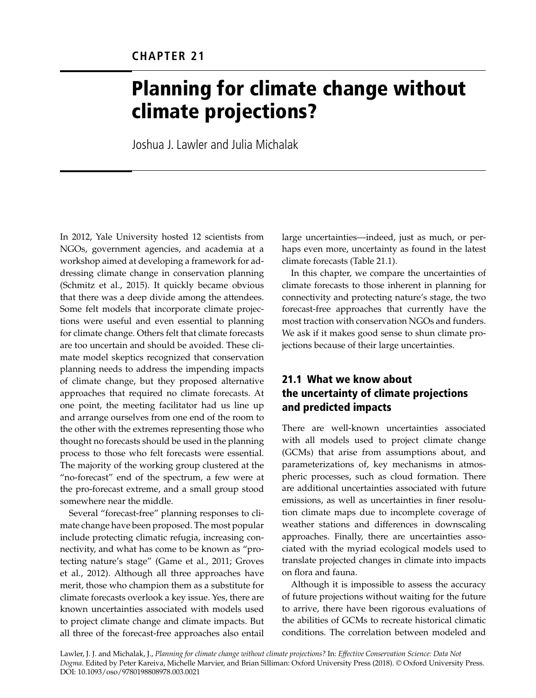# Planning for climate change without climate projections?

Joshua J. Lawler and Julia Michalak

In 2012, Yale University hosted 12 scientists from NGOs, government agencies, and academia at a workshop aimed at developing a framework for addressing climate change in conservation planning (Schmitz et al., 2015). It quickly became obvious that there was a deep divide among the attendees. Some felt models that incorporate climate projections were useful and even essential to planning for climate change. Others felt that climate forecasts are too uncertain and should be avoided. These climate model skeptics recognized that conservation planning needs to address the impending impacts of climate change, but they proposed alternative approaches that required no climate forecasts. At one point, the meeting facilitator had us line up and arrange ourselves from one end of the room to the other with the extremes representing those who thought no forecasts should be used in the planning process to those who felt forecasts were essential. The majority of the working group clustered at the "no-forecast" end of the spectrum, a few were at the pro-forecast extreme, and a small group stood somewhere near the middle.

Several "forecast-free" planning responses to climate change have been proposed. The most popular include protecting climatic refugia, increasing connectivity, and what has come to be known as "protecting nature's stage" (Game et al., 2011; Groves et al., 2012). Although all three approaches have merit, those who champion them as a substitute for climate forecasts overlook a key issue. Yes, there are known uncertainties associated with models used to project climate change and climate impacts. But all three of the forecast-free approaches also entail

large uncertainties—indeed, just as much, or perhaps even more, uncertainty as found in the latest climate forecasts (Table 21.1).

In this chapter, we compare the uncertainties of climate forecasts to those inherent in planning for connectivity and protecting nature's stage, the two forecast-free approaches that currently have the most traction with conservation NGOs and funders. We ask if it makes good sense to shun climate projections because of their large uncertainties.

# 21.1 What we know about the uncertainty of climate projections and predicted impacts

There are well-known uncertainties associated with all models used to project climate change (GCMs) that arise from assumptions about, and parameterizations of, key mechanisms in atmospheric processes, such as cloud formation. There are additional uncertainties associated with future emissions, as well as uncertainties in finer resolution climate maps due to incomplete coverage of weather stations and differences in downscaling approaches. Finally, there are uncertainties associated with the myriad ecological models used to translate projected changes in climate into impacts on flora and fauna.

Although it is impossible to assess the accuracy of future projections without waiting for the future to arrive, there have been rigorous evaluations of the abilities of GCMs to recreate historical climatic conditions. The correlation between modeled and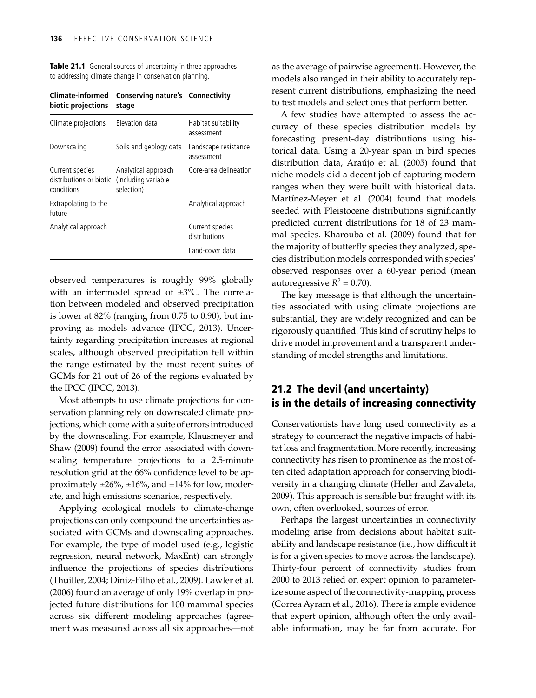| <b>Climate-informed</b><br>biotic projections            | <b>Conserving nature's Connectivity</b><br>stage         |                                    |  |  |
|----------------------------------------------------------|----------------------------------------------------------|------------------------------------|--|--|
| Climate projections                                      | <b>Flevation data</b>                                    | Habitat suitability<br>assessment  |  |  |
| Downscaling                                              | Soils and geology data                                   | Landscape resistance<br>assessment |  |  |
| Current species<br>distributions or biotic<br>conditions | Analytical approach<br>(including variable<br>selection) | Core-area delineation              |  |  |
| Extrapolating to the<br>future                           |                                                          | Analytical approach                |  |  |
| Analytical approach                                      |                                                          | Current species<br>distributions   |  |  |
|                                                          |                                                          | Land-cover data                    |  |  |

Table 21.1 General sources of uncertainty in three approaches to addressing climate change in conservation planning.

observed temperatures is roughly 99% globally with an intermodel spread of ±3°C. The correlation between modeled and observed precipitation is lower at 82% (ranging from 0.75 to 0.90), but improving as models advance (IPCC, 2013). Uncertainty regarding precipitation increases at regional scales, although observed precipitation fell within the range estimated by the most recent suites of GCMs for 21 out of 26 of the regions evaluated by the IPCC (IPCC, 2013).

Most attempts to use climate projections for conservation planning rely on downscaled climate projections, which come with a suite of errors introduced by the downscaling. For example, Klausmeyer and Shaw (2009) found the error associated with downscaling temperature projections to a 2.5-minute resolution grid at the 66% confidence level to be approximately  $\pm 26\%$ ,  $\pm 16\%$ , and  $\pm 14\%$  for low, moderate, and high emissions scenarios, respectively.

Applying ecological models to climate-change projections can only compound the uncertainties associated with GCMs and downscaling approaches. For example, the type of model used (e.g., logistic regression, neural network, MaxEnt) can strongly influence the projections of species distributions (Thuiller, 2004; Diniz-Filho et al., 2009). Lawler et al. (2006) found an average of only 19% overlap in projected future distributions for 100 mammal species across six different modeling approaches (agreement was measured across all six approaches—not as the average of pairwise agreement). However, the models also ranged in their ability to accurately represent current distributions, emphasizing the need to test models and select ones that perform better.

A few studies have attempted to assess the accuracy of these species distribution models by forecasting present-day distributions using historical data. Using a 20-year span in bird species distribution data, Araújo et al. (2005) found that niche models did a decent job of capturing modern ranges when they were built with historical data. Martínez-Meyer et al. (2004) found that models seeded with Pleistocene distributions significantly predicted current distributions for 18 of 23 mammal species. Kharouba et al. (2009) found that for the majority of butterfly species they analyzed, species distribution models corresponded with species' observed responses over a 60-year period (mean autoregressive  $R^2 = 0.70$ ).

The key message is that although the uncertainties associated with using climate projections are substantial, they are widely recognized and can be rigorously quantified. This kind of scrutiny helps to drive model improvement and a transparent understanding of model strengths and limitations.

#### 21.2 The devil (and uncertainty) is in the details of increasing connectivity

Conservationists have long used connectivity as a strategy to counteract the negative impacts of habitat loss and fragmentation. More recently, increasing connectivity has risen to prominence as the most often cited adaptation approach for conserving biodiversity in a changing climate (Heller and Zavaleta, 2009). This approach is sensible but fraught with its own, often overlooked, sources of error.

Perhaps the largest uncertainties in connectivity modeling arise from decisions about habitat suitability and landscape resistance (i.e., how difficult it is for a given species to move across the landscape). Thirty-four percent of connectivity studies from 2000 to 2013 relied on expert opinion to parameterize some aspect of the connectivity-mapping process (Correa Ayram et al., 2016). There is ample evidence that expert opinion, although often the only available information, may be far from accurate. For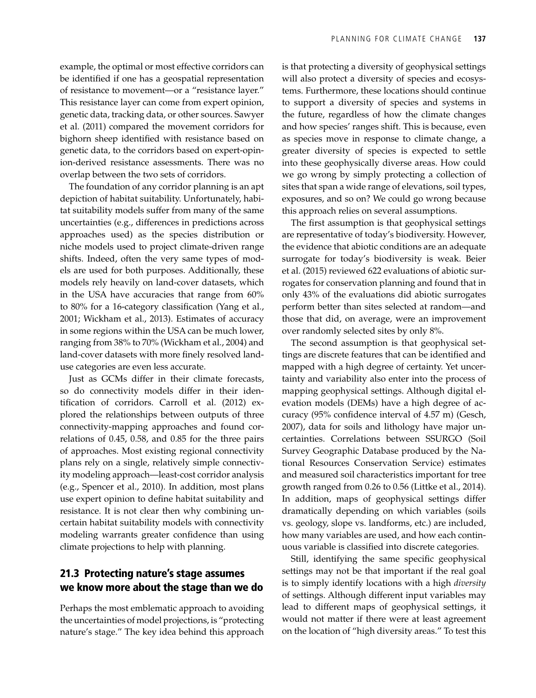example, the optimal or most effective corridors can be identified if one has a geospatial representation of resistance to movement—or a "resistance layer." This resistance layer can come from expert opinion, genetic data, tracking data, or other sources. Sawyer et al. (2011) compared the movement corridors for bighorn sheep identified with resistance based on genetic data, to the corridors based on expert-opinion-derived resistance assessments. There was no overlap between the two sets of corridors.

The foundation of any corridor planning is an apt depiction of habitat suitability. Unfortunately, habitat suitability models suffer from many of the same uncertainties (e.g., differences in predictions across approaches used) as the species distribution or niche models used to project climate-driven range shifts. Indeed, often the very same types of models are used for both purposes. Additionally, these models rely heavily on land-cover datasets, which in the USA have accuracies that range from 60% to 80% for a 16-category classification (Yang et al., 2001; Wickham et al., 2013). Estimates of accuracy in some regions within the USA can be much lower, ranging from 38% to 70% (Wickham et al., 2004) and land-cover datasets with more finely resolved landuse categories are even less accurate.

Just as GCMs differ in their climate forecasts, so do connectivity models differ in their identification of corridors. Carroll et al. (2012) explored the relationships between outputs of three connectivity-mapping approaches and found correlations of 0.45, 0.58, and 0.85 for the three pairs of approaches. Most existing regional connectivity plans rely on a single, relatively simple connectivity modeling approach—least-cost corridor analysis (e.g., Spencer et al., 2010). In addition, most plans use expert opinion to define habitat suitability and resistance. It is not clear then why combining uncertain habitat suitability models with connectivity modeling warrants greater confidence than using climate projections to help with planning.

## 21.3 Protecting nature's stage assumes we know more about the stage than we do

Perhaps the most emblematic approach to avoiding the uncertainties of model projections, is "protecting nature's stage." The key idea behind this approach is that protecting a diversity of geophysical settings will also protect a diversity of species and ecosystems. Furthermore, these locations should continue to support a diversity of species and systems in the future, regardless of how the climate changes and how species' ranges shift. This is because, even as species move in response to climate change, a greater diversity of species is expected to settle into these geophysically diverse areas. How could we go wrong by simply protecting a collection of sites that span a wide range of elevations, soil types, exposures, and so on? We could go wrong because this approach relies on several assumptions.

The first assumption is that geophysical settings are representative of today's biodiversity. However, the evidence that abiotic conditions are an adequate surrogate for today's biodiversity is weak. Beier et al. (2015) reviewed 622 evaluations of abiotic surrogates for conservation planning and found that in only 43% of the evaluations did abiotic surrogates perform better than sites selected at random—and those that did, on average, were an improvement over randomly selected sites by only 8%.

The second assumption is that geophysical settings are discrete features that can be identified and mapped with a high degree of certainty. Yet uncertainty and variability also enter into the process of mapping geophysical settings. Although digital elevation models (DEMs) have a high degree of accuracy (95% confidence interval of 4.57 m) (Gesch, 2007), data for soils and lithology have major uncertainties. Correlations between SSURGO (Soil Survey Geographic Database produced by the National Resources Conservation Service) estimates and measured soil characteristics important for tree growth ranged from 0.26 to 0.56 (Littke et al., 2014). In addition, maps of geophysical settings differ dramatically depending on which variables (soils vs. geology, slope vs. landforms, etc.) are included, how many variables are used, and how each continuous variable is classified into discrete categories.

Still, identifying the same specific geophysical settings may not be that important if the real goal is to simply identify locations with a high *diversity* of settings. Although different input variables may lead to different maps of geophysical settings, it would not matter if there were at least agreement on the location of "high diversity areas." To test this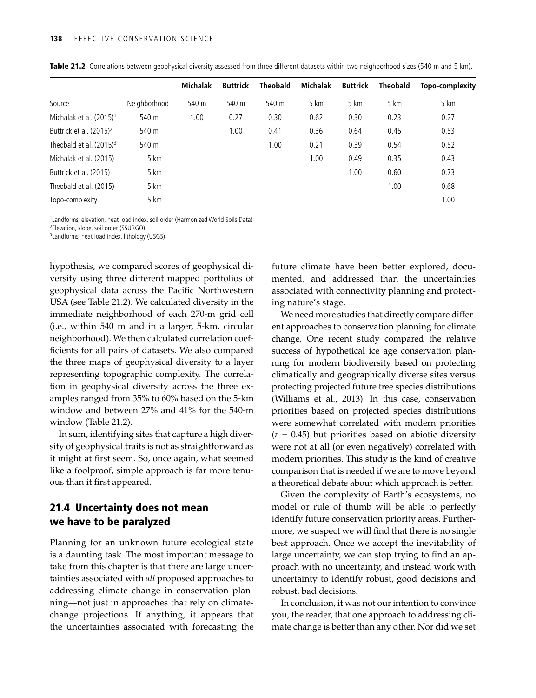|                                     |              | <b>Michalak</b> | <b>Buttrick</b> | <b>Theobald</b> | Michalak | <b>Buttrick</b> | <b>Theobald</b> | Topo-complexity |
|-------------------------------------|--------------|-----------------|-----------------|-----------------|----------|-----------------|-----------------|-----------------|
| Source                              | Neighborhood | 540 m           | 540 m           | 540 m           | 5 km     | 5 km            | 5 km            | 5 km            |
| Michalak et al. (2015) <sup>1</sup> | 540 m        | 1.00            | 0.27            | 0.30            | 0.62     | 0.30            | 0.23            | 0.27            |
| Buttrick et al. (2015) <sup>2</sup> | 540 m        |                 | 1.00            | 0.41            | 0.36     | 0.64            | 0.45            | 0.53            |
| Theobald et al. $(2015)^3$          | 540 m        |                 |                 | 1.00            | 0.21     | 0.39            | 0.54            | 0.52            |
| Michalak et al. (2015)              | 5 km         |                 |                 |                 | 1.00     | 0.49            | 0.35            | 0.43            |
| Buttrick et al. (2015)              | 5 km         |                 |                 |                 |          | 1.00            | 0.60            | 0.73            |
| Theobald et al. (2015)              | 5 km         |                 |                 |                 |          |                 | 1.00            | 0.68            |
| Topo-complexity                     | 5 km         |                 |                 |                 |          |                 |                 | 1.00            |

Table 21.2 Correlations between geophysical diversity assessed from three different datasets within two neighborhood sizes (540 m and 5 km).

1 Landforms, elevation, heat load index, soil order (Harmonized World Soils Data)

2 Elevation, slope, soil order (SSURGO) 3 Landforms, heat load index, lithology (USGS)

hypothesis, we compared scores of geophysical diversity using three different mapped portfolios of geophysical data across the Pacific Northwestern USA (see Table 21.2). We calculated diversity in the immediate neighborhood of each 270-m grid cell (i.e., within 540 m and in a larger, 5-km, circular neighborhood). We then calculated correlation coefficients for all pairs of datasets. We also compared the three maps of geophysical diversity to a layer representing topographic complexity. The correlation in geophysical diversity across the three examples ranged from 35% to 60% based on the 5-km window and between 27% and 41% for the 540-m window (Table 21.2).

In sum, identifying sites that capture a high diversity of geophysical traits is not as straightforward as it might at first seem. So, once again, what seemed like a foolproof, simple approach is far more tenuous than it first appeared.

### 21.4 Uncertainty does not mean we have to be paralyzed

Planning for an unknown future ecological state is a daunting task. The most important message to take from this chapter is that there are large uncertainties associated with *all* proposed approaches to addressing climate change in conservation planning—not just in approaches that rely on climatechange projections. If anything, it appears that the uncertainties associated with forecasting the

future climate have been better explored, documented, and addressed than the uncertainties associated with connectivity planning and protecting nature's stage.

We need more studies that directly compare different approaches to conservation planning for climate change. One recent study compared the relative success of hypothetical ice age conservation planning for modern biodiversity based on protecting climatically and geographically diverse sites versus protecting projected future tree species distributions (Williams et al., 2013). In this case, conservation priorities based on projected species distributions were somewhat correlated with modern priorities  $(r = 0.45)$  but priorities based on abiotic diversity were not at all (or even negatively) correlated with modern priorities. This study is the kind of creative comparison that is needed if we are to move beyond a theoretical debate about which approach is better.

Given the complexity of Earth's ecosystems, no model or rule of thumb will be able to perfectly identify future conservation priority areas. Furthermore, we suspect we will find that there is no single best approach. Once we accept the inevitability of large uncertainty, we can stop trying to find an approach with no uncertainty, and instead work with uncertainty to identify robust, good decisions and robust, bad decisions.

In conclusion, it was not our intention to convince you, the reader, that one approach to addressing climate change is better than any other. Nor did we set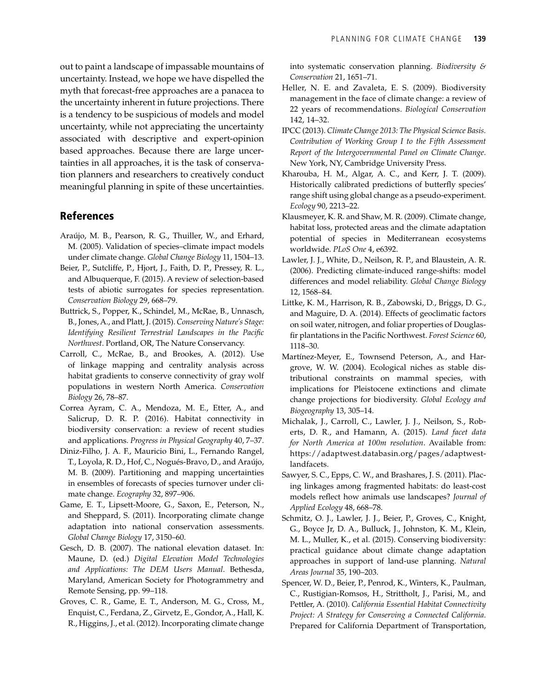out to paint a landscape of impassable mountains of uncertainty. Instead, we hope we have dispelled the myth that forecast-free approaches are a panacea to the uncertainty inherent in future projections. There is a tendency to be suspicious of models and model uncertainty, while not appreciating the uncertainty associated with descriptive and expert-opinion based approaches. Because there are large uncertainties in all approaches, it is the task of conservation planners and researchers to creatively conduct meaningful planning in spite of these uncertainties.

#### References

- Araújo, M. B., Pearson, R. G., Thuiller, W., and Erhard, M. (2005). Validation of species–climate impact models under climate change. *Global Change Biology* 11, 1504–13.
- Beier, P., Sutcliffe, P., Hjort, J., Faith, D. P., Pressey, R. L., and Albuquerque, F. (2015). A review of selection-based tests of abiotic surrogates for species representation. *Conservation Biology* 29, 668–79.
- Buttrick, S., Popper, K., Schindel, M., McRae, B., Unnasch, B., Jones, A., and Platt, J. (2015). *Conserving Nature's Stage: Identifying Resilient Terrestrial Landscapes in the Pacific Northwest*. Portland, OR, The Nature Conservancy.
- Carroll, C., McRae, B., and Brookes, A. (2012). Use of linkage mapping and centrality analysis across habitat gradients to conserve connectivity of gray wolf populations in western North America. *Conservation Biology* 26, 78–87.
- Correa Ayram, C. A., Mendoza, M. E., Etter, A., and Salicrup, D. R. P. (2016). Habitat connectivity in biodiversity conservation: a review of recent studies and applications. *Progress in Physical Geography* 40, 7–37.
- Diniz-Filho, J. A. F., Mauricio Bini, L., Fernando Rangel, T., Loyola, R. D., Hof, C., Nogués-Bravo, D., and Araújo, M. B. (2009). Partitioning and mapping uncertainties in ensembles of forecasts of species turnover under climate change. *Ecography* 32, 897–906.
- Game, E. T., Lipsett-Moore, G., Saxon, E., Peterson, N., and Sheppard, S. (2011). Incorporating climate change adaptation into national conservation assessments. *Global Change Biology* 17, 3150–60.
- Gesch, D. B. (2007). The national elevation dataset. In: Maune, D. (ed.) *Digital Elevation Model Technologies and Applications: The DEM Users Manual*. Bethesda, Maryland, American Society for Photogrammetry and Remote Sensing, pp. 99–118.
- Groves, C. R., Game, E. T., Anderson, M. G., Cross, M., Enquist, C., Ferdana, Z., Girvetz, E., Gondor, A., Hall, K. R., Higgins, J., et al. (2012). Incorporating climate change

into systematic conservation planning. *Biodiversity & Conservation* 21, 1651–71.

- Heller, N. E. and Zavaleta, E. S. (2009). Biodiversity management in the face of climate change: a review of 22 years of recommendations. *Biological Conservation* 142, 14–32.
- IPCC (2013). *Climate Change 2013: The Physical Science Basis. Contribution of Working Group I to the Fifth Assessment Report of the Intergovernmental Panel on Climate Change*. New York, NY, Cambridge University Press.
- Kharouba, H. M., Algar, A. C., and Kerr, J. T. (2009). Historically calibrated predictions of butterfly species' range shift using global change as a pseudo-experiment. *Ecology* 90, 2213–22.
- Klausmeyer, K. R. and Shaw, M. R. (2009). Climate change, habitat loss, protected areas and the climate adaptation potential of species in Mediterranean ecosystems worldwide. *PLoS One* 4, e6392.
- Lawler, J. J., White, D., Neilson, R. P., and Blaustein, A. R. (2006). Predicting climate-induced range-shifts: model differences and model reliability. *Global Change Biology* 12, 1568–84.
- Littke, K. M., Harrison, R. B., Zabowski, D., Briggs, D. G., and Maguire, D. A. (2014). Effects of geoclimatic factors on soil water, nitrogen, and foliar properties of Douglasfir plantations in the Pacific Northwest. *Forest Science* 60, 1118–30.
- Martínez-Meyer, E., Townsend Peterson, A., and Hargrove, W. W. (2004). Ecological niches as stable distributional constraints on mammal species, with implications for Pleistocene extinctions and climate change projections for biodiversity. *Global Ecology and Biogeography* 13, 305–14.
- Michalak, J., Carroll, C., Lawler, J. J., Neilson, S., Roberts, D. R., and Hamann, A. (2015). *Land facet data for North America at 100m resolution*. Available from: https://adaptwest.databasin.org/pages/adaptwestlandfacets.
- Sawyer, S. C., Epps, C. W., and Brashares, J. S. (2011). Placing linkages among fragmented habitats: do least-cost models reflect how animals use landscapes? *Journal of Applied Ecology* 48, 668–78.
- Schmitz, O. J., Lawler, J. J., Beier, P., Groves, C., Knight, G., Boyce Jr, D. A., Bulluck, J., Johnston, K. M., Klein, M. L., Muller, K., et al. (2015). Conserving biodiversity: practical guidance about climate change adaptation approaches in support of land-use planning. *Natural Areas Journal* 35, 190–203.
- Spencer, W. D., Beier, P., Penrod, K., Winters, K., Paulman, C., Rustigian-Romsos, H., Strittholt, J., Parisi, M., and Pettler, A. (2010). *California Essential Habitat Connectivity Project: A Strategy for Conserving a Connected California*. Prepared for California Department of Transportation,